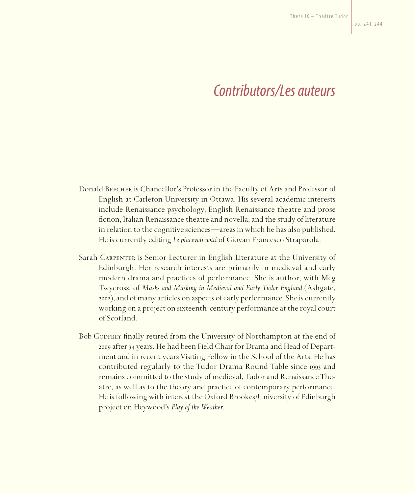## *Contributors/Les auteurs*

- Donald Beecher is Chancellor's Professor in the Faculty of Arts and Professor of English at Carleton University in Ottawa. His several academic interests include Renaissance psychology, English Renaissance theatre and prose fiction, Italian Renaissance theatre and novella, and the study of literature in relation to the cognitive sciences—areas in which he has also published. He is currently editing *Le piacevoli notti* of Giovan Francesco Straparola.
- Sarah Carpenter is Senior Lecturer in English Literature at the University of Edinburgh. Her research interests are primarily in medieval and early modern drama and practices of performance. She is author, with Meg Twycross, of *Masks and Masking in Medieval and Early Tudor England* (Ashgate, 2002), and of many articles on aspects of early performance. She is currently working on a project on sixteenth-century performance at the royal court of Scotland.
- Bob GODFREY finally retired from the University of Northampton at the end of 2009 after 34 years. He had been Field Chair for Drama and Head of Department and in recent years Visiting Fellow in the School of the Arts. He has contributed regularly to the Tudor Drama Round Table since 1993 and remains committed to the study of medieval, Tudor and Renaissance Theatre, as well as to the theory and practice of contemporary performance. He is following with interest the Oxford Brookes/University of Edinburgh project on Heywood's *Play of the Weather*.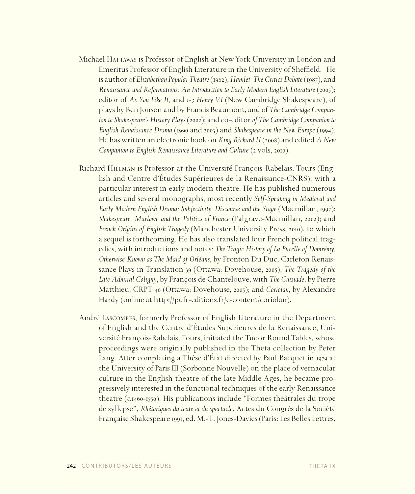- Michael HATTAWAY is Professor of English at New York University in London and Emeritus Professor of English Literature in the University of Sheffield. He is author of *Elizabethan Popular Theatre* (1982), *Hamlet: The Critics Debate* (1987), and *Renaissance and Reformations: An Introduction to Early Modern English Literature* (2005); editor of *As You Like It*, and *1-3 Henry VI* (New Cambridge Shakespeare), of plays by Ben Jonson and by Francis Beaumont, and of *The Cambridge Companion to Shakespeare's History Plays* (2002); and co-editor *of The Cambridge Companion to English Renaissance Drama* (1990 and 2003) and *Shakespeare in the New Europe* (1994). He has written an electronic book on *King RichardII* (2008) and edited *A New Companion to English Renaissance Literature and Culture (2 vols, 2010).*
- Richard Hillman is Professor at the Université François-Rabelais, Tours (English and Centre d'Études Supérieures de la Renaissance-CNRS), with a particular interest in early modern theatre. He has published numerous articles and several monographs, most recently *Self-Speaking in Medieval and Early Modern English Drama: Subjectivity, Discourse and the Stage* (Macmillan, 1997); *Shakespeare, Marlowe and the Politics of France* (Palgrave-Macmillan, 2002); and *French Origins of English Tragedy* (Manchester University Press, 2010), to which a sequel is forthcoming. He has also translated four French political tragedies, with introductions and notes: *The Tragic History of La Pucelle of Domrémy, Otherwise Known as The Maid of Orléans*, by Fronton Du Duc, Carleton Renaissance Plays in Translation 39 (Ottawa: Dovehouse, 2005); *The Tragedy of the Late Admiral Coligny*, by François de Chantelouve, with *The Guisiade*, by Pierre Matthieu, CRPT 40 (Ottawa: Dovehouse, 2005); and *Coriolan*, by Alexandre Hardy (online at http://pufr-editions.fr/e-content/coriolan).
- André Lascombes, formerly Professor of English Literature in the Department of English and the Centre d'Études Supérieures de la Renaissance, Université François-Rabelais, Tours, initiated the Tudor Round Tables, whose proceedings were originally published in the Theta collection by Peter Lang. After completing a Thèse d'État directed by Paul Bacquet in 1979 at the University of Paris III (Sorbonne Nouvelle) on the place of vernacular culture in the English theatre of the late Middle Ages, he became progressively interested in the functional techniques of the early Renaissance theatre (*c.*1460-1550). His publications include "Formes théâtrales du trope de syllepse", *Rhétoriques du texte et du spectacle*, Actes du Congrès de la Société Française Shakespeare 1991, ed. M.-T. Jones-Davies (Paris: Les Belles Lettres,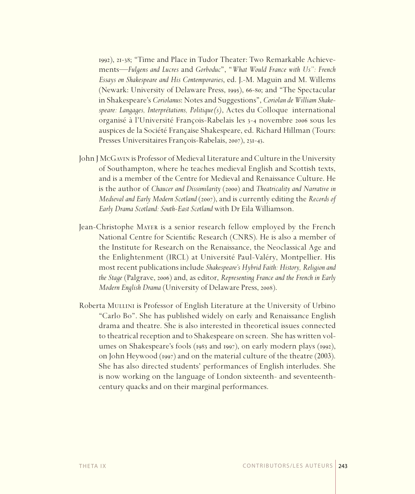1992), 21-38; "Time and Place in Tudor Theater: Two Remarkable Achievements*—Fulgens and Lucres* and *Gorboduc*", "*What Would France with Us": French Essays on Shakespeare and His Contemporaries*, ed. J.-M. Maguin and M. Willems (Newark: University of Delaware Press, 1995), 66-80; and "The Spectacular in Shakespeare's *Coriolanus*: Notes and Suggestions", *Coriolan de William Shakespeare: Langages, Interprétations, Politique(s)*, Actes du Colloque international organisé à l'Université François-Rabelais les 3-4 novembre 2006 sous les auspices de la Société Française Shakespeare, ed. Richard Hillman (Tours: Presses Universitaires François-Rabelais, 2007), 231-43.

- John J McGavin is Professor of Medieval Literature and Culture in the University of Southampton, where he teaches medieval English and Scottish texts, and is a member of the Centre for Medieval and Renaissance Culture. He is the author of *Chaucer and Dissimilarity* (2000) and *Theatricality and Narrative in Medieval and Early Modern Scotland* (2007), and is currently editing the *Records of Early Drama Scotland: South-East Scotland* with Dr Eila Williamson.
- Jean-Christophe Mayer is a senior research fellow employed by the French National Centre for Scientific Research (CNRS). He is also a member of the Institute for Research on the Renaissance, the Neoclassical Age and the Enlightenment (IRCL) at Université Paul-Valéry, Montpellier. His most recent publications include *Shakespeare's Hybrid Faith: History, Religion and the Stage* (Palgrave, 2006) and, as editor, *Representing France and the French in Early Modern English Drama* (University of Delaware Press, 2008).
- Roberta MULLINI is Professor of English Literature at the University of Urbino "Carlo Bo". She has published widely on early and Renaissance English drama and theatre. She is also interested in theoretical issues connected to theatrical reception and to Shakespeare on screen. She has written volumes on Shakespeare's fools (1983 and 1997), on early modern plays (1992), on John Heywood (1997) and on the material culture of the theatre (2003). She has also directed students' performances of English interludes. She is now working on the language of London sixteenth- and seventeenthcentury quacks and on their marginal performances.